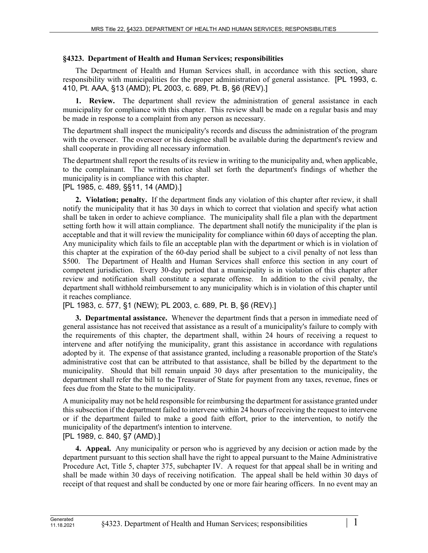## **§4323. Department of Health and Human Services; responsibilities**

The Department of Health and Human Services shall, in accordance with this section, share responsibility with municipalities for the proper administration of general assistance. [PL 1993, c. 410, Pt. AAA, §13 (AMD); PL 2003, c. 689, Pt. B, §6 (REV).]

**1. Review.** The department shall review the administration of general assistance in each municipality for compliance with this chapter. This review shall be made on a regular basis and may be made in response to a complaint from any person as necessary.

The department shall inspect the municipality's records and discuss the administration of the program with the overseer. The overseer or his designee shall be available during the department's review and shall cooperate in providing all necessary information.

The department shall report the results of its review in writing to the municipality and, when applicable, to the complainant. The written notice shall set forth the department's findings of whether the municipality is in compliance with this chapter.

[PL 1985, c. 489, §§11, 14 (AMD).]

**2. Violation; penalty.** If the department finds any violation of this chapter after review, it shall notify the municipality that it has 30 days in which to correct that violation and specify what action shall be taken in order to achieve compliance. The municipality shall file a plan with the department setting forth how it will attain compliance. The department shall notify the municipality if the plan is acceptable and that it will review the municipality for compliance within 60 days of accepting the plan. Any municipality which fails to file an acceptable plan with the department or which is in violation of this chapter at the expiration of the 60-day period shall be subject to a civil penalty of not less than \$500. The Department of Health and Human Services shall enforce this section in any court of competent jurisdiction. Every 30-day period that a municipality is in violation of this chapter after review and notification shall constitute a separate offense. In addition to the civil penalty, the department shall withhold reimbursement to any municipality which is in violation of this chapter until it reaches compliance.

[PL 1983, c. 577, §1 (NEW); PL 2003, c. 689, Pt. B, §6 (REV).]

**3. Departmental assistance.** Whenever the department finds that a person in immediate need of general assistance has not received that assistance as a result of a municipality's failure to comply with the requirements of this chapter, the department shall, within 24 hours of receiving a request to intervene and after notifying the municipality, grant this assistance in accordance with regulations adopted by it. The expense of that assistance granted, including a reasonable proportion of the State's administrative cost that can be attributed to that assistance, shall be billed by the department to the municipality. Should that bill remain unpaid 30 days after presentation to the municipality, the department shall refer the bill to the Treasurer of State for payment from any taxes, revenue, fines or fees due from the State to the municipality.

A municipality may not be held responsible for reimbursing the department for assistance granted under this subsection if the department failed to intervene within 24 hours of receiving the request to intervene or if the department failed to make a good faith effort, prior to the intervention, to notify the municipality of the department's intention to intervene.

[PL 1989, c. 840, §7 (AMD).]

**4. Appeal.** Any municipality or person who is aggrieved by any decision or action made by the department pursuant to this section shall have the right to appeal pursuant to the Maine Administrative Procedure Act, Title 5, chapter 375, subchapter IV. A request for that appeal shall be in writing and shall be made within 30 days of receiving notification. The appeal shall be held within 30 days of receipt of that request and shall be conducted by one or more fair hearing officers. In no event may an